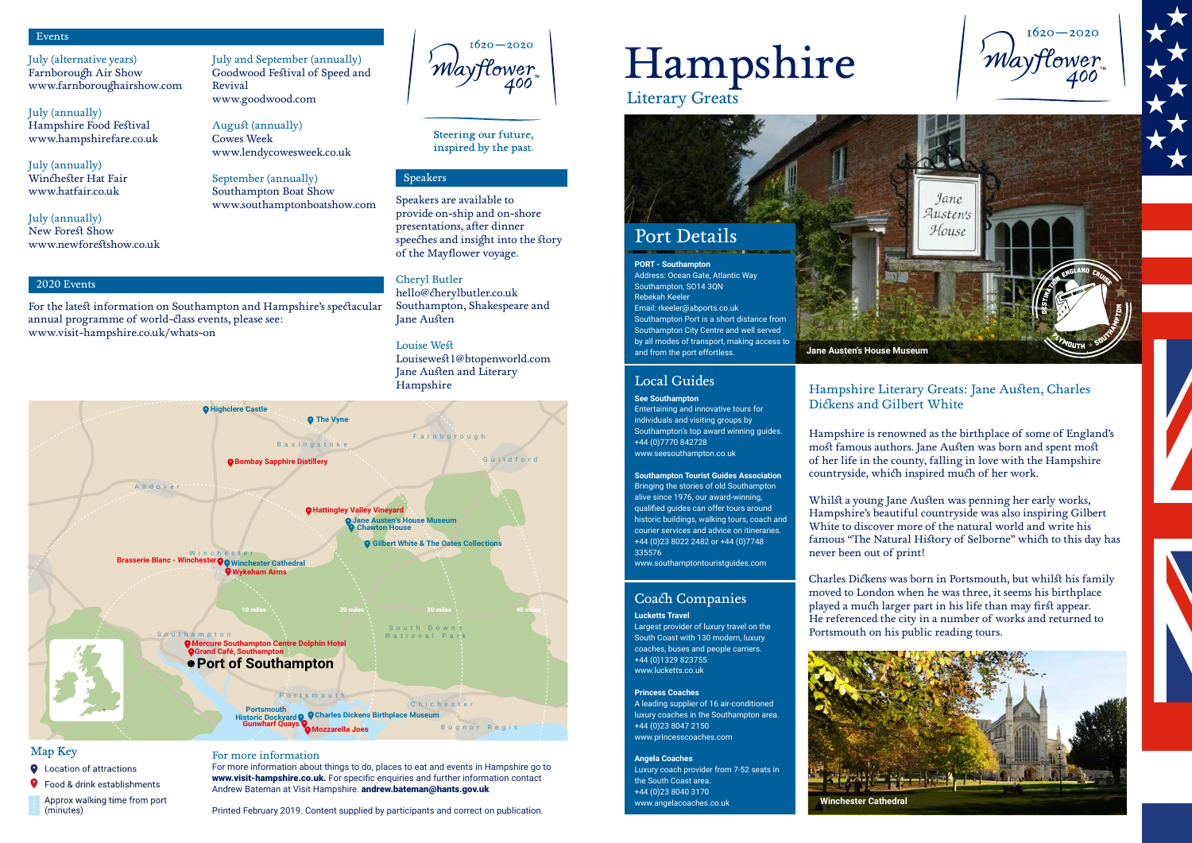# **Jane Austen's House Museum**

# Port Details

Literary Greats

# Hampshire

# Local Guides

# **See Southampton**

Entertaining and innovative tours for individuals and visiting groups by Southampton's top award winning guides. +44 (0)7770 842728 www.seesouthampton.co.uk

# Coach Companies **Lucketts Travel**

**Southampton Tourist Guides Association**  Bringing the stories of old Southampton alive since 1976, our award-winning, qualified guides can offer tours around historic buildings, walking tours, coach and courier services and advice on itineraries. +44 (0)23 8022 2482 or +44 (0)7748 335576

www.southamptontouristguides.com

Largest provider of luxury travel on the

South Coast with 130 modern, luxury coaches, buses and people carriers. +44 (0)1329 823755 www.lucketts.co.uk

# **Princess Coaches**

A leading supplier of 16 air-conditioned luxury coaches in the Southampton area. +44 (0)23 8047 2150 www.princesscoaches.com

# **Angela Coaches**

Luxury coach provider from 7-52 seats in the South Coast area. +44 (0)23 8040 3170 www.angelacoaches.co.uk

### **PORT - Southampton**

Address: Ocean Gate, Atlantic Way Southampton, SO14 3QN Rebekah Keeler Email: rkeeler@abports.co.uk Southampton Port is a short distance from Southampton City Centre and well served by all modes of transport, making access to and from the port effortless.

Hampshire Literary Greats: Jane Austen, Charles Dickens and Gilbert White

Hampshire is renowned as the birthplace of some of England's most famous authors. Jane Austen was born and spent most of her life in the county, falling in love with the Hampshire countryside, which inspired much of her work.

For more information about things to do, places to eat and events in Hampshire go to www.visit-hampshire.co.uk. For specific enquiries and further information contact Andrew Bateman at Visit Hampshire. andrew.bateman@hants.gov.uk

Whilst a young Jane Austen was penning her early works, Hampshire's beautiful countryside was also inspiring Gilbert White to discover more of the natural world and write his famous "The Natural History of Selborne" which to this day has never been out of print!

Charles Dickens was born in Portsmouth, but whilst his family moved to London when he was three, it seems his birthplace played a much larger part in his life than may first appear. He referenced the city in a number of works and returned to Portsmouth on his public reading tours.



# Events

2020 Events

# Speakers

July (alternative years) Farnborough Air Show www.farnboroughairshow.com

July (annually) Hampshire Food Festival www.hampshirefare.co.uk

July (annually) Winchester Hat Fair www.hatfair.co.uk

July (annually) New Forest Show www.newforestshow.co.uk July and September (annually) Goodwood Festival of Speed and Revival www.goodwood.com

August (annually) Cowes Week www.lendycowesweek.co.uk

September (annually) Southampton Boat Show www.southamptonboatshow.com

 $1620 - 2020$ 'MayHower 400

Steering our future, inspired by the past.

For the latest information on Southampton and Hampshire's spectacular

annual programme of world-class events, please see:

www.visit-hampshire.co.uk/whats-on

Speakers are available to provide on-ship and on-shore presentations, after dinner speeches and insight into the story of the Mayflower voyage.

Cheryl Butler hello@cherylbutler.co.uk Southampton, Shakespeare and Jane Austen

Louise West Louisewest1@btopenworld.com Jane Austen and Literary Hampshire

# For more information

Printed February 2019. Content supplied by participants and correct on publication.



**Q** Location of attractions

**9** Food & drink establishments

Approx walking time from port (minutes)

**Winchester Cathedral**

 $1620 - 2020$ MayHower 400